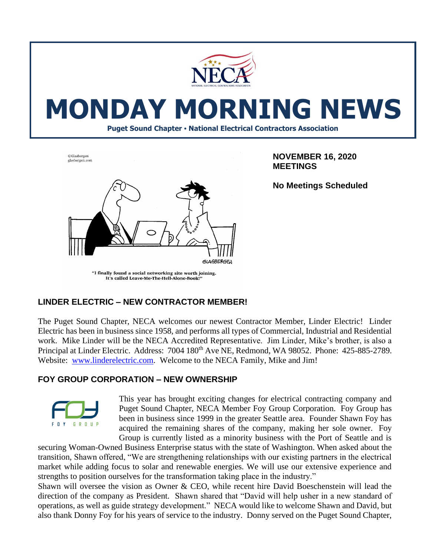

# **MONDAY MORNING NEWS**

**Puget Sound Chapter • National Electrical Contractors Association**



**NOVEMBER 16, 2020 MEETINGS**

**No Meetings Scheduled**

# It's called Leave-Me-The-Hell-Alone-Book!'

#### **LINDER ELECTRIC – NEW CONTRACTOR MEMBER!**

The Puget Sound Chapter, NECA welcomes our newest Contractor Member, Linder Electric! Linder Electric has been in business since 1958, and performs all types of Commercial, Industrial and Residential work. Mike Linder will be the NECA Accredited Representative. Jim Linder, Mike's brother, is also a Principal at Linder Electric. Address: 7004 180<sup>th</sup> Ave NE, Redmond, WA 98052. Phone: 425-885-2789. Website: [www.linderelectric.com.](http://www.linderelectric.com/) Welcome to the NECA Family, Mike and Jim!

#### **FOY GROUP CORPORATION – NEW OWNERSHIP**



This year has brought exciting changes for electrical contracting company and Puget Sound Chapter, NECA Member Foy Group Corporation. Foy Group has been in business since 1999 in the greater Seattle area. Founder Shawn Foy has acquired the remaining shares of the company, making her sole owner. Foy Group is currently listed as a minority business with the Port of Seattle and is

securing Woman-Owned Business Enterprise status with the state of Washington. When asked about the transition, Shawn offered, "We are strengthening relationships with our existing partners in the electrical market while adding focus to solar and renewable energies. We will use our extensive experience and strengths to position ourselves for the transformation taking place in the industry."

Shawn will oversee the vision as Owner & CEO, while recent hire David Boeschenstein will lead the direction of the company as President. Shawn shared that "David will help usher in a new standard of operations, as well as guide strategy development." NECA would like to welcome Shawn and David, but also thank Donny Foy for his years of service to the industry. Donny served on the Puget Sound Chapter,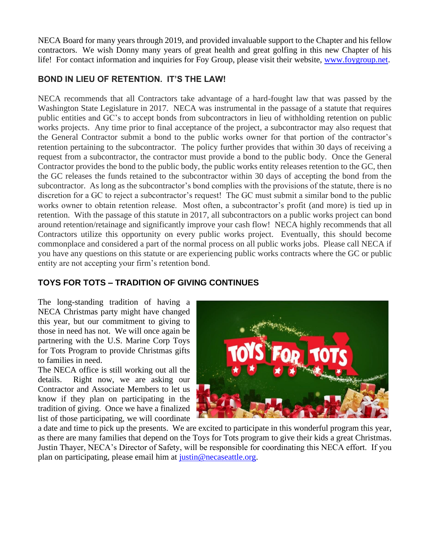NECA Board for many years through 2019, and provided invaluable support to the Chapter and his fellow contractors. We wish Donny many years of great health and great golfing in this new Chapter of his life! For contact information and inquiries for Foy Group, please visit their website, [www.foygroup.net.](http://www.foygroup.net/)

### **BOND IN LIEU OF RETENTION. IT'S THE LAW!**

NECA recommends that all Contractors take advantage of a hard-fought law that was passed by the Washington State Legislature in 2017. NECA was instrumental in the passage of a statute that requires public entities and GC's to accept bonds from subcontractors in lieu of withholding retention on public works projects. Any time prior to final acceptance of the project, a subcontractor may also request that the General Contractor submit a bond to the public works owner for that portion of the contractor's retention pertaining to the subcontractor. The policy further provides that within 30 days of receiving a request from a subcontractor, the contractor must provide a bond to the public body. Once the General Contractor provides the bond to the public body, the public works entity releases retention to the GC, then the GC releases the funds retained to the subcontractor within 30 days of accepting the bond from the subcontractor. As long as the subcontractor's bond complies with the provisions of the statute, there is no discretion for a GC to reject a subcontractor's request! The GC must submit a similar bond to the public works owner to obtain retention release. Most often, a subcontractor's profit (and more) is tied up in retention. With the passage of this statute in 2017, all subcontractors on a public works project can bond around retention/retainage and significantly improve your cash flow! NECA highly recommends that all Contractors utilize this opportunity on every public works project. Eventually, this should become commonplace and considered a part of the normal process on all public works jobs. Please call NECA if you have any questions on this statute or are experiencing public works contracts where the GC or public entity are not accepting your firm's retention bond.

## **TOYS FOR TOTS – TRADITION OF GIVING CONTINUES**

The long-standing tradition of having a NECA Christmas party might have changed this year, but our commitment to giving to those in need has not. We will once again be partnering with the U.S. Marine Corp Toys for Tots Program to provide Christmas gifts to families in need.

The NECA office is still working out all the details. Right now, we are asking our Contractor and Associate Members to let us know if they plan on participating in the tradition of giving. Once we have a finalized list of those participating, we will coordinate



a date and time to pick up the presents. We are excited to participate in this wonderful program this year, as there are many families that depend on the Toys for Tots program to give their kids a great Christmas. Justin Thayer, NECA's Director of Safety, will be responsible for coordinating this NECA effort. If you plan on participating, please email him at [justin@necaseattle.org.](mailto:justin@necaseattle.org)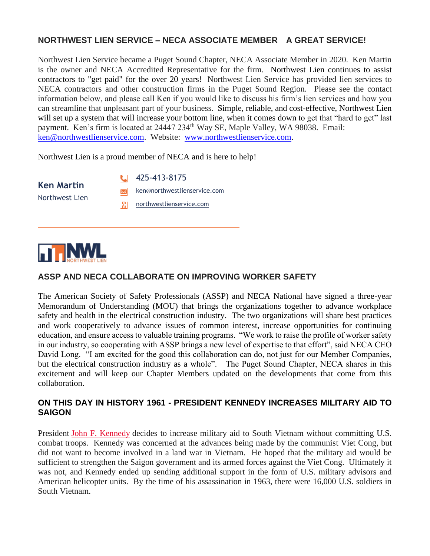#### **NORTHWEST LIEN SERVICE – NECA ASSOCIATE MEMBER** – **A GREAT SERVICE!**

Northwest Lien Service became a Puget Sound Chapter, NECA Associate Member in 2020. Ken Martin is the owner and NECA Accredited Representative for the firm. Northwest Lien continues to assist contractors to "get paid" for the over 20 years! Northwest Lien Service has provided lien services to NECA contractors and other construction firms in the Puget Sound Region. Please see the contact information below, and please call Ken if you would like to discuss his firm's lien services and how you can streamline that unpleasant part of your business. Simple, reliable, and cost-effective, Northwest Lien will set up a system that will increase your bottom line, when it comes down to get that "hard to get" last payment. Ken's firm is located at 24447 234<sup>th</sup> Way SE, Maple Valley, WA 98038. Email: [ken@northwestlienservice.com.](mailto:ken@northwestlienservice.com) Website: [www.northwestlienservice.com.](http://www.northwestlienservice.com/)

Northwest Lien is a proud member of NECA and is here to help!

**Ken Martin** Northwest Lien 425-413-8175 [ken@northwestlienservice.com](mailto:laura@northwestlienservice.com) [northwestlienservice.com](https://northwestlienservice.com/)



#### **ASSP AND NECA COLLABORATE ON IMPROVING WORKER SAFETY**

The American Society of Safety Professionals (ASSP) and NECA National have signed a three-year Memorandum of Understanding (MOU) that brings the organizations together to advance workplace safety and health in the electrical construction industry. The two organizations will share best practices and work cooperatively to advance issues of common interest, increase opportunities for continuing education, and ensure access to valuable training programs. "We work to raise the profile of worker safety in our industry, so cooperating with ASSP brings a new level of expertise to that effort", said NECA CEO David Long. "I am excited for the good this collaboration can do, not just for our Member Companies, but the electrical construction industry as a whole". The Puget Sound Chapter, NECA shares in this excitement and will keep our Chapter Members updated on the developments that come from this collaboration.

#### **ON THIS DAY IN HISTORY 1961 - PRESIDENT KENNEDY INCREASES MILITARY AID TO SAIGON**

President [John F. Kennedy](https://www.history.com/topics/us-presidents/john-f-kennedy) decides to increase military aid to South Vietnam without committing U.S. combat troops. Kennedy was concerned at the advances being made by the communist Viet Cong, but did not want to become involved in a land war in Vietnam. He hoped that the military aid would be sufficient to strengthen the Saigon government and its armed forces against the Viet Cong. Ultimately it was not, and Kennedy ended up sending additional support in the form of U.S. military advisors and American helicopter units. By the time of his assassination in 1963, there were 16,000 U.S. soldiers in South Vietnam.